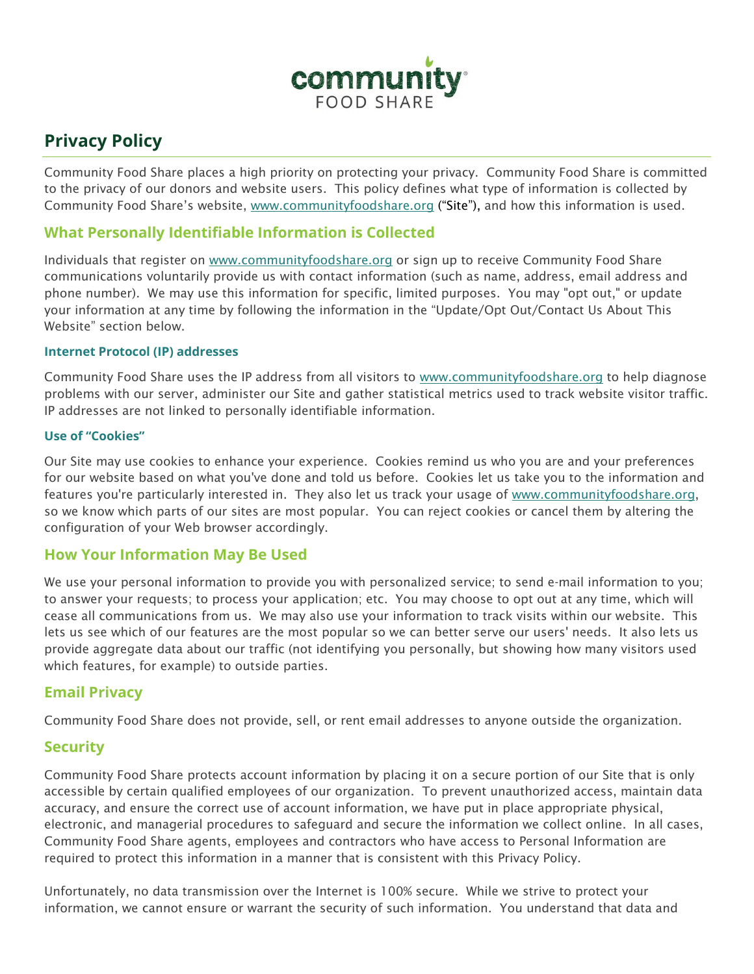

# **Privacy Policy**

Community Food Share places a high priority on protecting your privacy. Community Food Share is committed to the privacy of our donors and website users. This policy defines what type of information is collected by Community Food Share's website, www.communityfoodshare.org ("Site"), and how this information is used.

# **What Personally Identifiable Information is Collected**

Individuals that register on [www.communityfoodshare.org](file://server02/Users/Kim/www.communityfoodshare.org) or sign up to receive Community Food Share communications voluntarily provide us with contact information (such as name, address, email address and phone number). We may use this information for specific, limited purposes. You may "opt out," or update your information at any time by following the information in the "Update/Opt Out/Contact Us About This Website" section below.

#### **Internet Protocol (IP) addresses**

Community Food Share uses the IP address from all visitors to [www.communityfoodshare.org](http://www.communityfoodshare.org/) to help diagnose problems with our server, administer our Site and gather statistical metrics used to track website visitor traffic. IP addresses are not linked to personally identifiable information.

#### **Use of "Cookies"**

Our Site may use cookies to enhance your experience. Cookies remind us who you are and your preferences for our website based on what you've done and told us before. Cookies let us take you to the information and features you're particularly interested in. They also let us track your usage of [www.communityfoodshare.org,](file://server02/Users/Kim/www.communityfoodshare.org) so we know which parts of our sites are most popular. You can reject cookies or cancel them by altering the configuration of your Web browser accordingly.

## **How Your Information May Be Used**

We use your personal information to provide you with personalized service; to send e-mail information to you; to answer your requests; to process your application; etc. You may choose to opt out at any time, which will cease all communications from us. We may also use your information to track visits within our website. This lets us see which of our features are the most popular so we can better serve our users' needs. It also lets us provide aggregate data about our traffic (not identifying you personally, but showing how many visitors used which features, for example) to outside parties.

## **Email Privacy**

Community Food Share does not provide, sell, or rent email addresses to anyone outside the organization.

## **Security**

Community Food Share protects account information by placing it on a secure portion of our Site that is only accessible by certain qualified employees of our organization. To prevent unauthorized access, maintain data accuracy, and ensure the correct use of account information, we have put in place appropriate physical, electronic, and managerial procedures to safeguard and secure the information we collect online. In all cases, Community Food Share agents, employees and contractors who have access to Personal Information are required to protect this information in a manner that is consistent with this Privacy Policy.

Unfortunately, no data transmission over the Internet is 100% secure. While we strive to protect your information, we cannot ensure or warrant the security of such information. You understand that data and